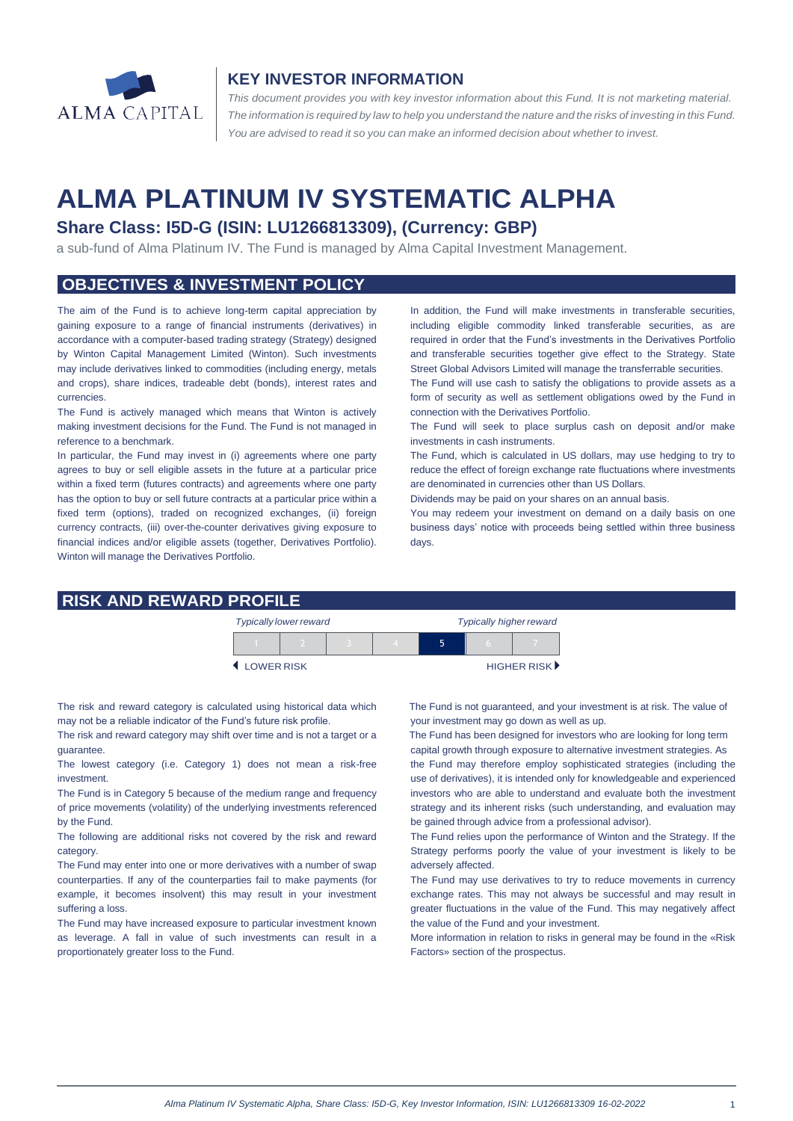

# **KEY INVESTOR INFORMATION**

*This document provides you with key investor information about this Fund. It is not marketing material.*  The information is required by law to help you understand the nature and the risks of investing in this Fund. *You are advised to read it so you can make an informed decision about whether to invest.*

# **ALMA PLATINUM IV SYSTEMATIC ALPHA**

# **Share Class: I5D-G (ISIN: LU1266813309), (Currency: GBP)**

a sub-fund of Alma Platinum IV. The Fund is managed by Alma Capital Investment Management.

# **OBJECTIVES & INVESTMENT POLICY**

The aim of the Fund is to achieve long-term capital appreciation by gaining exposure to a range of financial instruments (derivatives) in accordance with a computer-based trading strategy (Strategy) designed by Winton Capital Management Limited (Winton). Such investments may include derivatives linked to commodities (including energy, metals and crops), share indices, tradeable debt (bonds), interest rates and currencies.

The Fund is actively managed which means that Winton is actively making investment decisions for the Fund. The Fund is not managed in reference to a benchmark.

In particular, the Fund may invest in (i) agreements where one party agrees to buy or sell eligible assets in the future at a particular price within a fixed term (futures contracts) and agreements where one party has the option to buy or sell future contracts at a particular price within a fixed term (options), traded on recognized exchanges, (ii) foreign currency contracts, (iii) over-the-counter derivatives giving exposure to financial indices and/or eligible assets (together, Derivatives Portfolio). Winton will manage the Derivatives Portfolio.

In addition, the Fund will make investments in transferable securities, including eligible commodity linked transferable securities, as are required in order that the Fund's investments in the Derivatives Portfolio and transferable securities together give effect to the Strategy. State Street Global Advisors Limited will manage the transferrable securities.

The Fund will use cash to satisfy the obligations to provide assets as a form of security as well as settlement obligations owed by the Fund in connection with the Derivatives Portfolio.

The Fund will seek to place surplus cash on deposit and/or make investments in cash instruments.

The Fund, which is calculated in US dollars, may use hedging to try to reduce the effect of foreign exchange rate fluctuations where investments are denominated in currencies other than US Dollars.

Dividends may be paid on your shares on an annual basis.

You may redeem your investment on demand on a daily basis on one business days' notice with proceeds being settled within three business days.

#### **RISK AND REWARD PROFILE**

|            | <b>Typically lower reward</b> |  | <b>Typically higher reward</b> |  |  |                      |
|------------|-------------------------------|--|--------------------------------|--|--|----------------------|
|            |                               |  |                                |  |  |                      |
| LOWER RISK |                               |  |                                |  |  | <b>HIGHER RISK</b> ▶ |

The risk and reward category is calculated using historical data which may not be a reliable indicator of the Fund's future risk profile.

The risk and reward category may shift over time and is not a target or a guarantee.

The lowest category (i.e. Category 1) does not mean a risk-free investment.

The Fund is in Category 5 because of the medium range and frequency of price movements (volatility) of the underlying investments referenced by the Fund.

The following are additional risks not covered by the risk and reward category.

The Fund may enter into one or more derivatives with a number of swap counterparties. If any of the counterparties fail to make payments (for example, it becomes insolvent) this may result in your investment suffering a loss.

The Fund may have increased exposure to particular investment known as leverage. A fall in value of such investments can result in a proportionately greater loss to the Fund.

 The Fund is not guaranteed, and your investment is at risk. The value of your investment may go down as well as up.

 The Fund has been designed for investors who are looking for long term capital growth through exposure to alternative investment strategies. As

the Fund may therefore employ sophisticated strategies (including the use of derivatives), it is intended only for knowledgeable and experienced investors who are able to understand and evaluate both the investment strategy and its inherent risks (such understanding, and evaluation may be gained through advice from a professional advisor).

The Fund relies upon the performance of Winton and the Strategy. If the Strategy performs poorly the value of your investment is likely to be adversely affected.

The Fund may use derivatives to try to reduce movements in currency exchange rates. This may not always be successful and may result in greater fluctuations in the value of the Fund. This may negatively affect the value of the Fund and your investment.

More information in relation to risks in general may be found in the «Risk Factors» section of the prospectus.